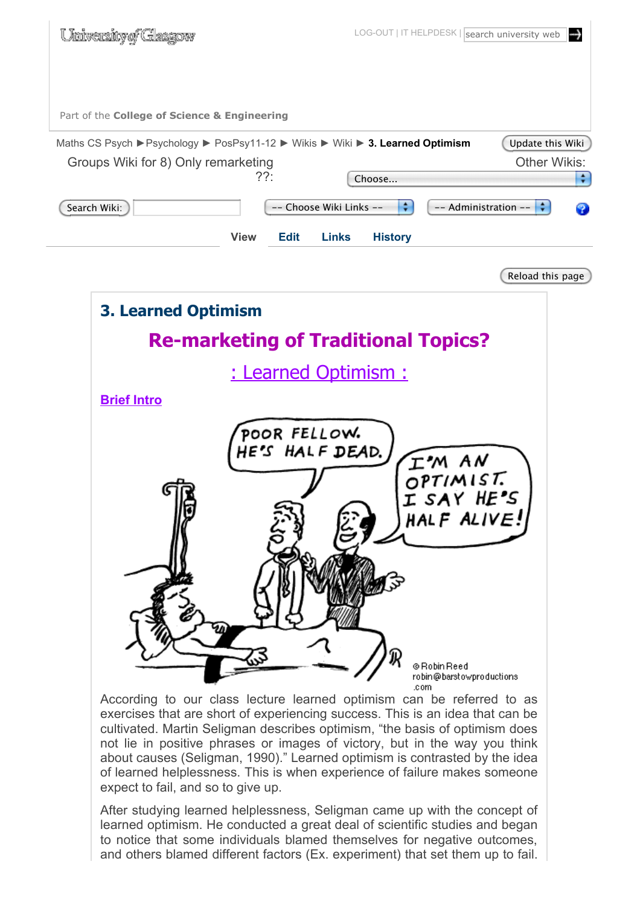

Reload this page



According to our class lecture learned optimism can be referred to as exercises that are short of experiencing success. This is an idea that can be cultivated. Martin Seligman describes optimism, "the basis of optimism does not lie in positive phrases or images of victory, but in the way you think about causes (Seligman, 1990)." Learned optimism is contrasted by the idea of learned helplessness. This is when experience of failure makes someone expect to fail, and so to give up.

After studying learned helplessness, Seligman came up with the concept of learned optimism. He conducted a great deal of scientific studies and began to notice that some individuals blamed themselves for negative outcomes, and others blamed different factors (Ex. experiment) that set them up to fail.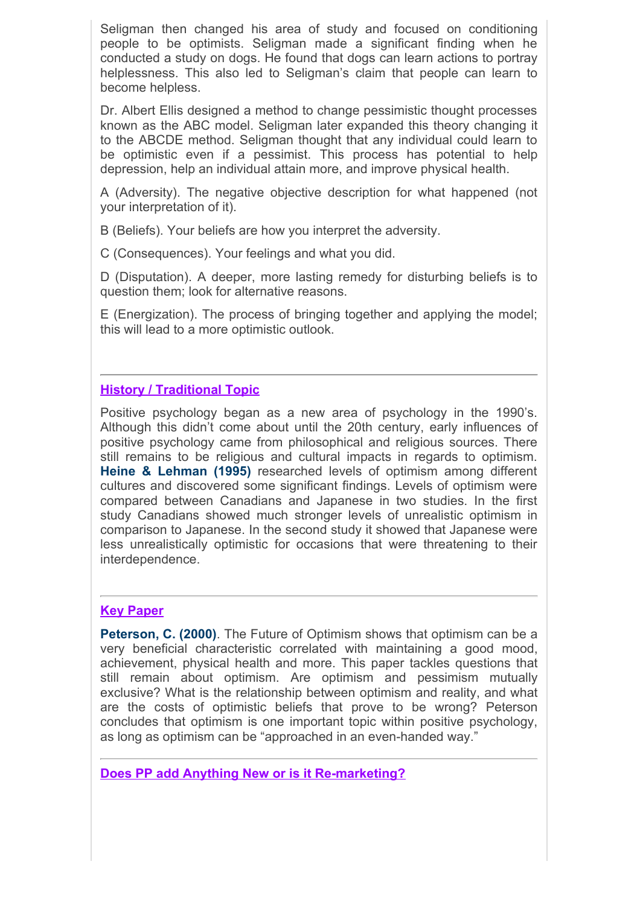Seligman then changed his area of study and focused on conditioning people to be optimists. Seligman made a significant finding when he conducted a study on dogs. He found that dogs can learn actions to portray helplessness. This also led to Seligman's claim that people can learn to become helpless.

Dr. Albert Ellis designed a method to change pessimistic thought processes known as the ABC model. Seligman later expanded this theory changing it to the ABCDE method. Seligman thought that any individual could learn to be optimistic even if a pessimist. This process has potential to help depression, help an individual attain more, and improve physical health.

A (Adversity). The negative objective description for what happened (not your interpretation of it).

B (Beliefs). Your beliefs are how you interpret the adversity.

C (Consequences). Your feelings and what you did.

D (Disputation). A deeper, more lasting remedy for disturbing beliefs is to question them; look for alternative reasons.

E (Energization). The process of bringing together and applying the model; this will lead to a more optimistic outlook.

### **History / Traditional Topic**

Positive psychology began as a new area of psychology in the 1990's. Although this didn't come about until the 20th century, early influences of positive psychology came from philosophical and religious sources. There still remains to be religious and cultural impacts in regards to optimism. **Heine & Lehman (1995)** researched levels of optimism among different cultures and discovered some significant findings. Levels of optimism were compared between Canadians and Japanese in two studies. In the first study Canadians showed much stronger levels of unrealistic optimism in comparison to Japanese. In the second study it showed that Japanese were less unrealistically optimistic for occasions that were threatening to their interdependence.

### **Key Paper**

**Peterson, C. (2000)**. The Future of Optimism shows that optimism can be a very beneficial characteristic correlated with maintaining a good mood, achievement, physical health and more. This paper tackles questions that still remain about optimism. Are optimism and pessimism mutually exclusive? What is the relationship between optimism and reality, and what are the costs of optimistic beliefs that prove to be wrong? Peterson concludes that optimism is one important topic within positive psychology, as long as optimism can be "approached in an even-handed way."

**Does PP add Anything New or is it Re-marketing?**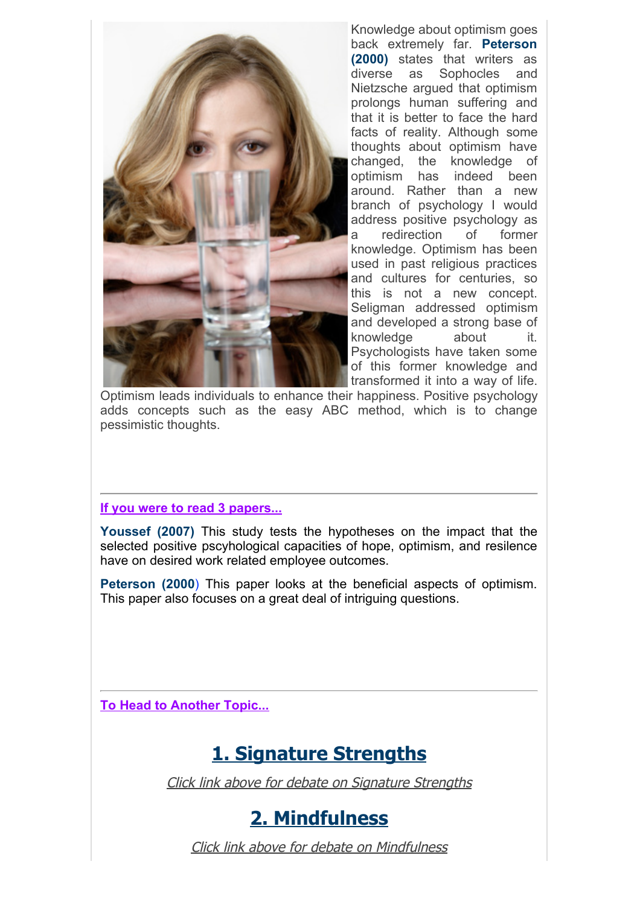

Knowledge about optimism goes back extremely far. **Peterson (2000)** states that writers as diverse as Sophocles and Nietzsche argued that optimism prolongs human suffering and that it is better to face the hard facts of reality. Although some thoughts about optimism have changed, the knowledge of optimism has indeed been around. Rather than a new branch of psychology I would address positive psychology as a redirection of former knowledge. Optimism has been used in past religious practices and cultures for centuries, so this is not a new concept. Seligman addressed optimism and developed a strong base of knowledge about it. Psychologists have taken some of this former knowledge and transformed it into a way of life.

Optimism leads individuals to enhance their happiness. Positive psychology adds concepts such as the easy ABC method, which is to change pessimistic thoughts.

### **If you were to read 3 papers...**

**Youssef (2007)** This study tests the hypotheses on the impact that the selected positive pscyhological capacities of hope, optimism, and resilence have on desired work related employee outcomes.

**Peterson (2000**) This paper looks at the beneficial aspects of optimism. This paper also focuses on a great deal of intriguing questions.

**To Head to Another Topic...**

### **1. Signature Strengths**

Click link above for debate on Signature Strengths

### **2. Mindfulness**

Click link above for debate on Mindfulness